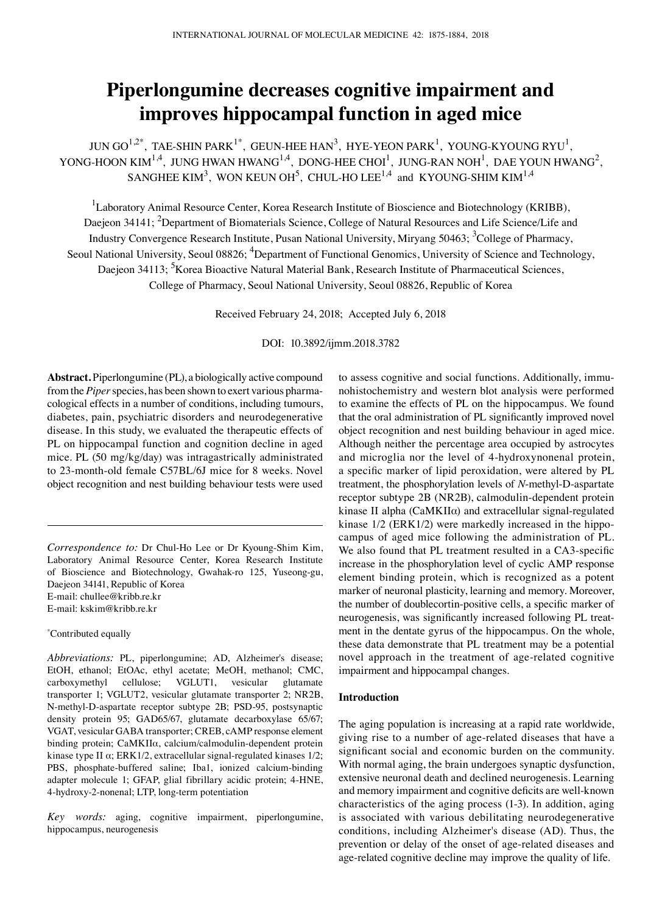# **Piperlongumine decreases cognitive impairment and improves hippocampal function in aged mice**

JUN GO $^{1,2^*}$ , TAE-SHIN PARK $^{1^*}$ , GEUN-HEE HAN<sup>3</sup>, HYE-YEON PARK<sup>1</sup>, YOUNG-KYOUNG RYU<sup>1</sup>, YONG-HOON KIM<sup>1,4</sup>, JUNG HWAN HWANG<sup>1,4</sup>, DONG-HEE CHOI<sup>1</sup>, JUNG-RAN NOH<sup>1</sup>, DAE YOUN HWANG<sup>2</sup>, SANGHEE KIM<sup>3</sup>, WON KEUN OH<sup>5</sup>, CHUL-HO LEE<sup>1,4</sup> and KYOUNG-SHIM KIM<sup>1,4</sup>

<sup>1</sup>Laboratory Animal Resource Center, Korea Research Institute of Bioscience and Biotechnology (KRIBB), Daejeon 34141; <sup>2</sup>Department of Biomaterials Science, College of Natural Resources and Life Science/Life and Industry Convergence Research Institute, Pusan National University, Miryang 50463; <sup>3</sup>College of Pharmacy, Seoul National University, Seoul 08826; <sup>4</sup>Department of Functional Genomics, University of Science and Technology, Daejeon 34113; <sup>5</sup>Korea Bioactive Natural Material Bank, Research Institute of Pharmaceutical Sciences, College of Pharmacy, Seoul National University, Seoul 08826, Republic of Korea

Received February 24, 2018; Accepted July 6, 2018

DOI: 10.3892/ijmm.2018.3782

**Abstract.** Piperlongumine (PL), a biologically active compound from the *Piper* species, has been shown to exert various pharmacological effects in a number of conditions, including tumours, diabetes, pain, psychiatric disorders and neurodegenerative disease. In this study, we evaluated the therapeutic effects of PL on hippocampal function and cognition decline in aged mice. PL (50 mg/kg/day) was intragastrically administrated to 23-month-old female C57BL/6J mice for 8 weeks. Novel object recognition and nest building behaviour tests were used

*Correspondence to:* Dr Chul-Ho Lee or Dr Kyoung-Shim Kim, Laboratory Animal Resource Center, Korea Research Institute of Bioscience and Biotechnology, Gwahak-ro 125, Yuseong-gu, Daejeon 34141, Republic of Korea E-mail: chullee@kribb.re.kr E-mail: kskim@kribb.re.kr

#### \* Contributed equally

*Abbreviations:* PL, piperlongumine; AD, Alzheimer's disease; EtOH, ethanol; EtOAc, ethyl acetate; MeOH, methanol; CMC, carboxymethyl cellulose; VGLUT1, vesicular glutamate transporter 1; VGLUT2, vesicular glutamate transporter 2; NR2B, N-methyl‑D‑aspartate receptor subtype 2B; PSD‑95, postsynaptic density protein 95; GAD65/67, glutamate decarboxylase 65/67; VGAT, vesicular GABA transporter; CREB, cAMP response element binding protein; CaMKIIα, calcium/calmodulin-dependent protein kinase type II α; ERK1/2, extracellular signal-regulated kinases 1/2; PBS, phosphate-buffered saline; Iba1, ionized calcium-binding adapter molecule 1; GFAP, glial fibrillary acidic protein; 4-HNE, 4-hydroxy-2-nonenal; LTP, long-term potentiation

*Key words:* aging, cognitive impairment, piperlongumine, hippocampus, neurogenesis

to assess cognitive and social functions. Additionally, immunohistochemistry and western blot analysis were performed to examine the effects of PL on the hippocampus. We found that the oral administration of PL significantly improved novel object recognition and nest building behaviour in aged mice. Although neither the percentage area occupied by astrocytes and microglia nor the level of 4-hydroxynonenal protein, a specific marker of lipid peroxidation, were altered by PL treatment, the phosphorylation levels of *N*-methyl‑D‑aspartate receptor subtype 2B (NR2B), calmodulin-dependent protein kinase II alpha (CaMKIIα) and extracellular signal-regulated kinase 1/2 (ERK1/2) were markedly increased in the hippocampus of aged mice following the administration of PL. We also found that PL treatment resulted in a CA3-specific increase in the phosphorylation level of cyclic AMP response element binding protein, which is recognized as a potent marker of neuronal plasticity, learning and memory. Moreover, the number of doublecortin‑positive cells, a specific marker of neurogenesis, was significantly increased following PL treatment in the dentate gyrus of the hippocampus. On the whole, these data demonstrate that PL treatment may be a potential novel approach in the treatment of age-related cognitive impairment and hippocampal changes.

#### **Introduction**

The aging population is increasing at a rapid rate worldwide, giving rise to a number of age-related diseases that have a significant social and economic burden on the community. With normal aging, the brain undergoes synaptic dysfunction, extensive neuronal death and declined neurogenesis. Learning and memory impairment and cognitive deficits are well-known characteristics of the aging process (1-3). In addition, aging is associated with various debilitating neurodegenerative conditions, including Alzheimer's disease (AD). Thus, the prevention or delay of the onset of age-related diseases and age-related cognitive decline may improve the quality of life.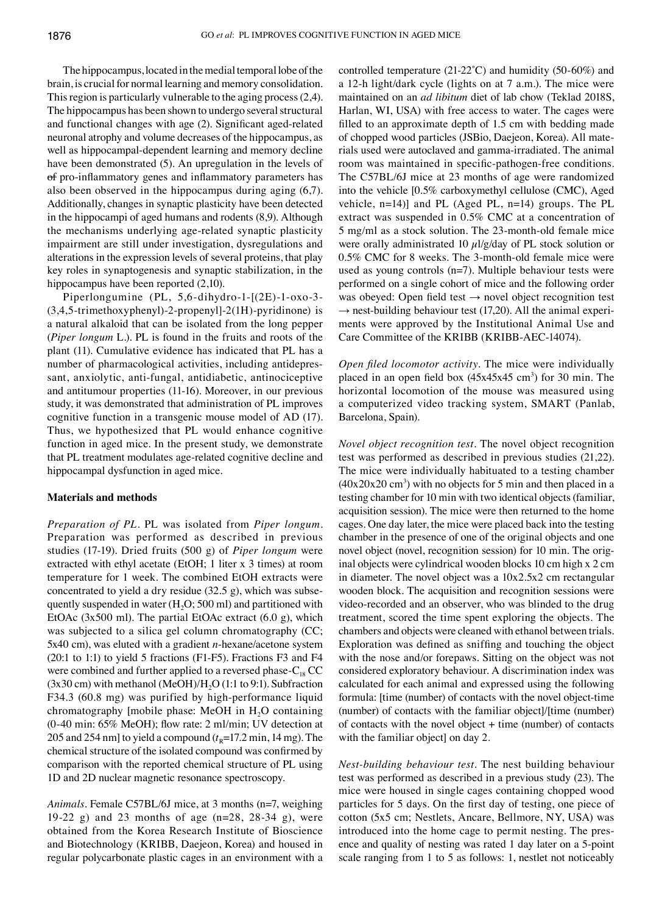The hippocampus, located in the medial temporal lobe of the brain, is crucial for normal learning and memory consolidation. This region is particularly vulnerable to the aging process(2,4). The hippocampus has been shown to undergo several structural and functional changes with age (2). Significant aged-related neuronal atrophy and volume decreases of the hippocampus, as well as hippocampal-dependent learning and memory decline have been demonstrated (5). An upregulation in the levels of of pro‑inflammatory genes and inflammatory parameters has also been observed in the hippocampus during aging (6,7). Additionally, changes in synaptic plasticity have been detected in the hippocampi of aged humans and rodents (8,9). Although the mechanisms underlying age-related synaptic plasticity impairment are still under investigation, dysregulations and alterations in the expression levels of several proteins, that play key roles in synaptogenesis and synaptic stabilization, in the hippocampus have been reported (2,10).

Piperlongumine (PL, 5,6-dihydro-1-[(2E)-1-oxo-3- (3,4,5-trimethoxyphenyl)-2-propenyl]-2(1H)-pyridinone) is a natural alkaloid that can be isolated from the long pepper (*Piper longum* L*.*). PL is found in the fruits and roots of the plant (11). Cumulative evidence has indicated that PL has a number of pharmacological activities, including antidepressant, anxiolytic, anti-fungal, antidiabetic, antinociceptive and antitumour properties (11-16). Moreover, in our previous study, it was demonstrated that administration of PL improves cognitive function in a transgenic mouse model of AD (17). Thus, we hypothesized that PL would enhance cognitive function in aged mice. In the present study, we demonstrate that PL treatment modulates age-related cognitive decline and hippocampal dysfunction in aged mice.

# **Materials and methods**

*Preparation of PL.* PL was isolated from *Piper longum.* Preparation was performed as described in previous studies (17-19). Dried fruits (500 g) of *Piper longum* were extracted with ethyl acetate (EtOH; 1 liter x 3 times) at room temperature for 1 week. The combined EtOH extracts were concentrated to yield a dry residue (32.5 g), which was subsequently suspended in water  $(H<sub>2</sub>O; 500 ml)$  and partitioned with EtOAc  $(3x500 \text{ ml})$ . The partial EtOAc extract  $(6.0 \text{ g})$ , which was subjected to a silica gel column chromatography (CC; 5x40 cm), was eluted with a gradient *n*-hexane/acetone system (20:1 to 1:1) to yield 5 fractions (F1-F5). Fractions F3 and F4 were combined and further applied to a reversed phase- $C_{18}$  CC  $(3x30 \text{ cm})$  with methanol  $(MeOH)/H<sub>2</sub>O (1:1 \text{ to } 9:1)$ . Subfraction F34.3 (60.8 mg) was purified by high-performance liquid chromatography [mobile phase: MeOH in  $H_2O$  containing (0‑40 min: 65% MeOH); flow rate: 2 ml/min; UV detection at 205 and 254 nm] to yield a compound  $(t_R=17.2 \text{ min}, 14 \text{ mg})$ . The chemical structure of the isolated compound was confirmed by comparison with the reported chemical structure of PL using 1D and 2D nuclear magnetic resonance spectroscopy.

*Animals.* Female C57BL/6J mice, at 3 months (n=7, weighing 19-22 g) and 23 months of age (n=28, 28-34 g), were obtained from the Korea Research Institute of Bioscience and Biotechnology (KRIBB, Daejeon, Korea) and housed in regular polycarbonate plastic cages in an environment with a controlled temperature (21‑22˚C) and humidity (50‑60%) and a 12-h light/dark cycle (lights on at 7 a.m.). The mice were maintained on an *ad libitum* diet of lab chow (Teklad 2018S, Harlan, WI, USA) with free access to water. The cages were filled to an approximate depth of 1.5 cm with bedding made of chopped wood particles (JSBio, Daejeon, Korea). All materials used were autoclaved and gamma-irradiated. The animal room was maintained in specific-pathogen-free conditions. The C57BL/6J mice at 23 months of age were randomized into the vehicle [0.5% carboxymethyl cellulose (CMC), Aged vehicle, n=14)] and PL (Aged PL, n=14) groups. The PL extract was suspended in 0.5% CMC at a concentration of 5 mg/ml as a stock solution. The 23-month-old female mice were orally administrated 10  $\mu$ l/g/day of PL stock solution or 0.5% CMC for 8 weeks. The 3-month-old female mice were used as young controls  $(n=7)$ . Multiple behaviour tests were performed on a single cohort of mice and the following order was obeyed: Open field test  $\rightarrow$  novel object recognition test  $\rightarrow$  nest-building behaviour test (17,20). All the animal experiments were approved by the Institutional Animal Use and Care Committee of the KRIBB (KRIBB-AEC‑14074).

*Open filed locomotor activity.* The mice were individually placed in an open field box  $(45x45x45 \text{ cm}^3)$  for 30 min. The horizontal locomotion of the mouse was measured using a computerized video tracking system, SMART (Panlab, Barcelona, Spain).

*Novel object recognition test.* The novel object recognition test was performed as described in previous studies (21,22). The mice were individually habituated to a testing chamber  $(40x20x20 \text{ cm}^3)$  with no objects for 5 min and then placed in a testing chamber for 10 min with two identical objects (familiar, acquisition session). The mice were then returned to the home cages. One day later, the mice were placed back into the testing chamber in the presence of one of the original objects and one novel object (novel, recognition session) for 10 min. The original objects were cylindrical wooden blocks 10 cm high x 2 cm in diameter. The novel object was a 10x2.5x2 cm rectangular wooden block. The acquisition and recognition sessions were video-recorded and an observer, who was blinded to the drug treatment, scored the time spent exploring the objects. The chambers and objects were cleaned with ethanol between trials. Exploration was defined as sniffing and touching the object with the nose and/or forepaws. Sitting on the object was not considered exploratory behaviour. A discrimination index was calculated for each animal and expressed using the following formula: [time (number) of contacts with the novel object-time (number) of contacts with the familiar object]/[time (number) of contacts with the novel object + time (number) of contacts with the familiar object] on day 2.

*Nest‑building behaviour test.* The nest building behaviour test was performed as described in a previous study (23). The mice were housed in single cages containing chopped wood particles for 5 days. On the first day of testing, one piece of cotton (5x5 cm; Nestlets, Ancare, Bellmore, NY, USA) was introduced into the home cage to permit nesting. The presence and quality of nesting was rated 1 day later on a 5-point scale ranging from 1 to 5 as follows: 1, nestlet not noticeably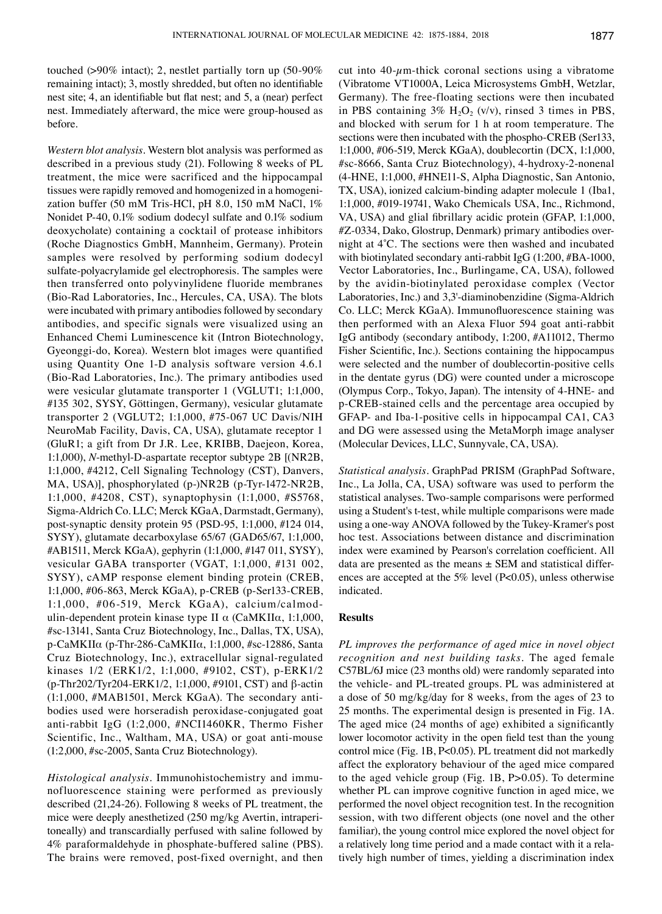touched (>90% intact); 2, nestlet partially torn up (50-90% remaining intact); 3, mostly shredded, but often no identifiable nest site; 4, an identifiable but flat nest; and 5, a (near) perfect nest. Immediately afterward, the mice were group-housed as before.

*Western blot analysis.* Western blot analysis was performed as described in a previous study (21). Following 8 weeks of PL treatment, the mice were sacrificed and the hippocampal tissues were rapidly removed and homogenized in a homogenization buffer (50 mM Tris-HCl, pH 8.0, 150 mM NaCl, 1% Nonidet P-40, 0.1% sodium dodecyl sulfate and 0.1% sodium deoxycholate) containing a cocktail of protease inhibitors (Roche Diagnostics GmbH, Mannheim, Germany). Protein samples were resolved by performing sodium dodecyl sulfate-polyacrylamide gel electrophoresis. The samples were then transferred onto polyvinylidene fluoride membranes (Bio-Rad Laboratories, Inc., Hercules, CA, USA). The blots were incubated with primary antibodies followed by secondary antibodies, and specific signals were visualized using an Enhanced Chemi Luminescence kit (Intron Biotechnology, Gyeonggi‑do, Korea). Western blot images were quantified using Quantity One 1‑D analysis software version 4.6.1 (Bio-Rad Laboratories, Inc.). The primary antibodies used were vesicular glutamate transporter 1 (VGLUT1; 1:1,000, #135 302, SYSY, Göttingen, Germany), vesicular glutamate transporter 2 (VGLUT2; 1:1,000, #75-067 UC Davis/NIH NeuroMab Facility, Davis, CA, USA), glutamate receptor 1 (GluR1; a gift from Dr J.R. Lee, KRIBB, Daejeon, Korea, 1:1,000), *N*-methyl‑D‑aspartate receptor subtype 2B [(NR2B, 1:1,000, #4212, Cell Signaling Technology (CST), Danvers, MA, USA)], phosphorylated (p-)NR2B (p-Tyr-1472-NR2B, 1:1,000, #4208, CST), synaptophysin (1:1,000, #S5768, Sigma-Aldrich Co. LLC; Merck KGaA, Darmstadt, Germany), post-synaptic density protein 95 (PSD‑95, 1:1,000, #124 014, SYSY), glutamate decarboxylase 65/67 (GAD65/67, 1:1,000, #AB1511, Merck KGaA), gephyrin (1:1,000, #147 011, SYSY), vesicular GABA transporter (VGAT, 1:1,000, #131 002, SYSY), cAMP response element binding protein (CREB, 1:1,000, #06-863, Merck KGaA), p‑CREB (p-Ser133‑CREB, 1:1,000, #06-519, Merck KGaA), calcium/calmodulin-dependent protein kinase type II  $\alpha$  (CaMKII $\alpha$ , 1:1,000, #sc-13141, Santa Cruz Biotechnology, Inc., Dallas, TX, USA), p‑CaMKIIα (p-Thr-286‑CaMKIIα, 1:1,000, #sc-12886, Santa Cruz Biotechnology, Inc.), extracellular signal-regulated kinases 1/2 (ERK1/2, 1:1,000, #9102, CST), p-ERK1/2 (p-Thr202/Tyr204-ERK1/2, 1:1,000, #9101, CST) and β-actin (1:1,000, #MAB1501, Merck KGaA). The secondary antibodies used were horseradish peroxidase-conjugated goat anti-rabbit IgG (1:2,000, #NCI1460KR, Thermo Fisher Scientific, Inc., Waltham, MA, USA) or goat anti-mouse (1:2,000, #sc-2005, Santa Cruz Biotechnology).

*Histological analysis.* Immunohistochemistry and immunofluorescence staining were performed as previously described (21,24-26). Following 8 weeks of PL treatment, the mice were deeply anesthetized (250 mg/kg Avertin, intraperitoneally) and transcardially perfused with saline followed by 4% paraformaldehyde in phosphate-buffered saline (PBS). The brains were removed, post-fixed overnight, and then cut into  $40$ - $\mu$ m-thick coronal sections using a vibratome (Vibratome VT1000A, Leica Microsystems GmbH, Wetzlar, Germany). The free-floating sections were then incubated in PBS containing  $3\%$  H<sub>2</sub>O<sub>2</sub> (v/v), rinsed 3 times in PBS, and blocked with serum for 1 h at room temperature. The sections were then incubated with the phospho-CREB (Ser133, 1:1,000, #06-519, Merck KGaA), doublecortin (DCX, 1:1,000, #sc-8666, Santa Cruz Biotechnology), 4-hydroxy-2-nonenal (4-HNE, 1:1,000, #HNE11-S, Alpha Diagnostic, San Antonio, TX, USA), ionized calcium-binding adapter molecule 1 (Iba1, 1:1,000, #019-19741, Wako Chemicals USA, Inc., Richmond, VA, USA) and glial fibrillary acidic protein (GFAP, 1:1,000, #Z-0334, Dako, Glostrup, Denmark) primary antibodies overnight at 4˚C. The sections were then washed and incubated with biotinylated secondary anti-rabbit IgG (1:200, #BA-1000, Vector Laboratories, Inc., Burlingame, CA, USA), followed by the avidin-biotinylated peroxidase complex (Vector Laboratories, Inc.) and 3,3'-diaminobenzidine (Sigma-Aldrich Co. LLC; Merck KGaA). Immunofluorescence staining was then performed with an Alexa Fluor 594 goat anti-rabbit IgG antibody (secondary antibody, 1:200, #A11012, Thermo Fisher Scientific, Inc.). Sections containing the hippocampus were selected and the number of doublecortin-positive cells in the dentate gyrus (DG) were counted under a microscope (Olympus Corp., Tokyo, Japan). The intensity of 4-HNE- and p‑CREB-stained cells and the percentage area occupied by GFAP- and Iba-1-positive cells in hippocampal CA1, CA3 and DG were assessed using the MetaMorph image analyser (Molecular Devices, LLC, Sunnyvale, CA, USA).

*Statistical analysis.* GraphPad PRISM (GraphPad Software, Inc., La Jolla, CA, USA) software was used to perform the statistical analyses. Two-sample comparisons were performed using a Student's t-test, while multiple comparisons were made using a one-way ANOVA followed by the Tukey-Kramer's post hoc test. Associations between distance and discrimination index were examined by Pearson's correlation coefficient. All data are presented as the means  $\pm$  SEM and statistical differences are accepted at the  $5\%$  level (P<0.05), unless otherwise indicated.

## **Results**

*PL improves the performance of aged mice in novel object recognition and nest building tasks.* The aged female C57BL/6J mice (23 months old) were randomly separated into the vehicle- and PL-treated groups. PL was administered at a dose of 50 mg/kg/day for 8 weeks, from the ages of 23 to 25 months. The experimental design is presented in Fig. 1A. The aged mice (24 months of age) exhibited a significantly lower locomotor activity in the open field test than the young control mice (Fig. 1B, P<0.05). PL treatment did not markedly affect the exploratory behaviour of the aged mice compared to the aged vehicle group (Fig. 1B, P>0.05). To determine whether PL can improve cognitive function in aged mice, we performed the novel object recognition test. In the recognition session, with two different objects (one novel and the other familiar), the young control mice explored the novel object for a relatively long time period and a made contact with it a relatively high number of times, yielding a discrimination index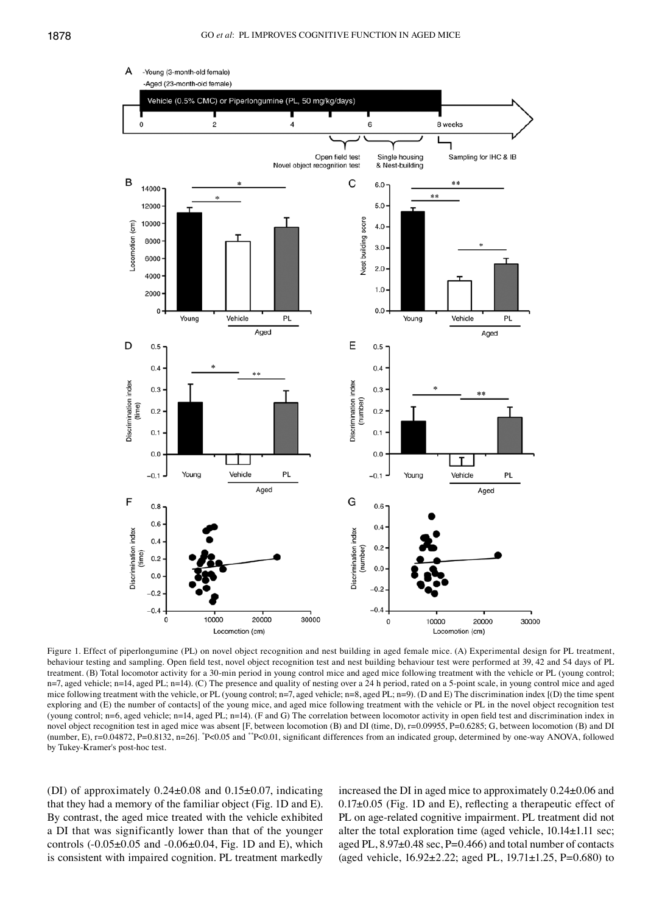

Figure 1. Effect of piperlongumine (PL) on novel object recognition and nest building in aged female mice. (A) Experimental design for PL treatment, behaviour testing and sampling. Open field test, novel object recognition test and nest building behaviour test were performed at 39, 42 and 54 days of PL treatment. (B) Total locomotor activity for a 30-min period in young control mice and aged mice following treatment with the vehicle or PL (young control; n=7, aged vehicle; n=14, aged PL; n=14). (C) The presence and quality of nesting over a 24 h period, rated on a 5-point scale, in young control mice and aged mice following treatment with the vehicle, or PL (young control;  $n=7$ , aged vehicle;  $n=8$ , aged PL;  $n=9$ ). (D and E) The discrimination index [(D) the time spent exploring and (E) the number of contacts] of the young mice, and aged mice following treatment with the vehicle or PL in the novel object recognition test (young control; n=6, aged vehicle; n=14, aged PL; n=14). (F and G) The correlation between locomotor activity in open field test and discrimination index in novel object recognition test in aged mice was absent [F, between locomotion (B) and DI (time, D), r=0.09955, P=0.6285; G, between locomotion (B) and DI (number, E), r=0.04872, P=0.8132, n=26]. \* P<0.05 and \*\*P<0.01, significant differences from an indicated group, determined by one‑way ANOVA, followed by Tukey-Kramer's post-hoc test.

(DI) of approximately  $0.24 \pm 0.08$  and  $0.15 \pm 0.07$ , indicating that they had a memory of the familiar object (Fig. 1D and E). By contrast, the aged mice treated with the vehicle exhibited a DI that was significantly lower than that of the younger controls (-0.05±0.05 and -0.06±0.04, Fig. 1D and E), which is consistent with impaired cognition. PL treatment markedly increased the DI in aged mice to approximately 0.24±0.06 and 0.17±0.05 (Fig. 1D and E), reflecting a therapeutic effect of PL on age-related cognitive impairment. PL treatment did not alter the total exploration time (aged vehicle,  $10.14 \pm 1.11$  sec; aged PL, 8.97±0.48 sec, P=0.466) and total number of contacts (aged vehicle, 16.92±2.22; aged PL, 19.71±1.25, P=0.680) to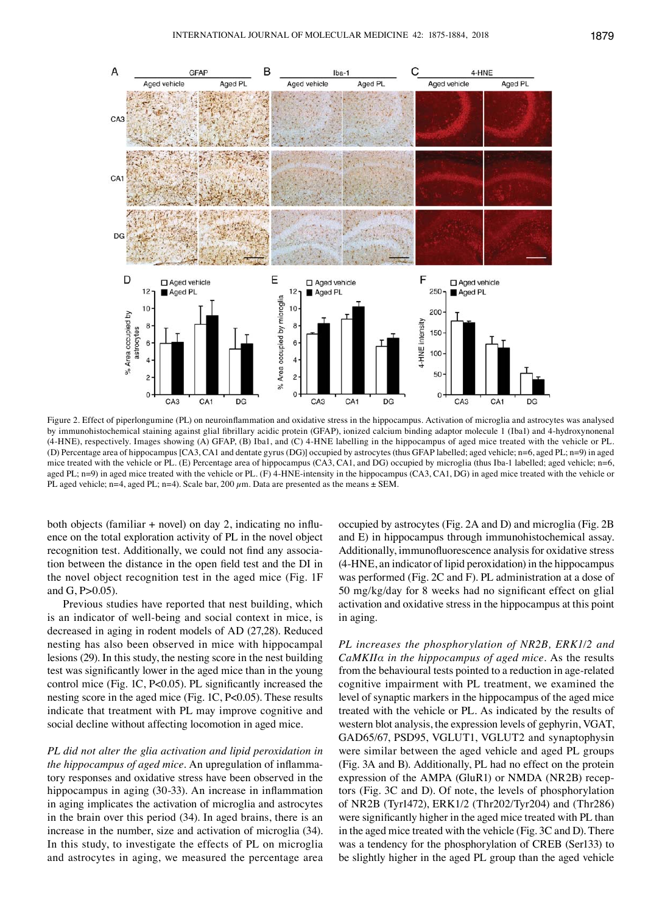

Figure 2. Effect of piperlongumine (PL) on neuroinflammation and oxidative stress in the hippocampus. Activation of microglia and astrocytes was analysed by immunohistochemical staining against glial fibrillary acidic protein (GFAP), ionized calcium binding adaptor molecule 1 (Iba1) and 4‑hydroxynonenal (4-HNE), respectively. Images showing (A) GFAP, (B) Iba1, and (C) 4-HNE labelling in the hippocampus of aged mice treated with the vehicle or PL. (D) Percentage area of hippocampus [CA3, CA1 and dentate gyrus (DG)] occupied by astrocytes (thus GFAP labelled; aged vehicle; n=6, aged PL; n=9) in aged mice treated with the vehicle or PL. (E) Percentage area of hippocampus (CA3, CA1, and DG) occupied by microglia (thus Iba-1 labelled; aged vehicle; n=6, aged PL; n=9) in aged mice treated with the vehicle or PL. (F) 4-HNE-intensity in the hippocampus (CA3, CA1, DG) in aged mice treated with the vehicle or PL aged vehicle; n=4, aged PL; n=4). Scale bar, 200  $\mu$ m. Data are presented as the means  $\pm$  SEM.

both objects (familiar  $+$  novel) on day 2, indicating no influence on the total exploration activity of PL in the novel object recognition test. Additionally, we could not find any association between the distance in the open field test and the DI in the novel object recognition test in the aged mice (Fig. 1F and G,  $P > 0.05$ ).

Previous studies have reported that nest building, which is an indicator of well-being and social context in mice, is decreased in aging in rodent models of AD (27,28). Reduced nesting has also been observed in mice with hippocampal lesions (29). In this study, the nesting score in the nest building test was significantly lower in the aged mice than in the young control mice (Fig. 1C, P<0.05). PL significantly increased the nesting score in the aged mice (Fig. 1C, P<0.05). These results indicate that treatment with PL may improve cognitive and social decline without affecting locomotion in aged mice.

*PL did not alter the glia activation and lipid peroxidation in the hippocampus of aged mice.* An upregulation of inflammatory responses and oxidative stress have been observed in the hippocampus in aging (30-33). An increase in inflammation in aging implicates the activation of microglia and astrocytes in the brain over this period (34). In aged brains, there is an increase in the number, size and activation of microglia (34). In this study, to investigate the effects of PL on microglia and astrocytes in aging, we measured the percentage area occupied by astrocytes (Fig. 2A and D) and microglia (Fig. 2B and E) in hippocampus through immunohistochemical assay. Additionally, immunofluorescence analysis for oxidative stress (4-HNE, an indicator of lipid peroxidation) in the hippocampus was performed (Fig. 2C and F). PL administration at a dose of 50 mg/kg/day for 8 weeks had no significant effect on glial activation and oxidative stress in the hippocampus at this point in aging.

*PL increases the phosphorylation of NR2B, ERK1/2 and CaMKIIα in the hippocampus of aged mice.* As the results from the behavioural tests pointed to a reduction in age-related cognitive impairment with PL treatment, we examined the level of synaptic markers in the hippocampus of the aged mice treated with the vehicle or PL. As indicated by the results of western blot analysis, the expression levels of gephyrin, VGAT, GAD65/67, PSD95, VGLUT1, VGLUT2 and synaptophysin were similar between the aged vehicle and aged PL groups (Fig. 3A and B). Additionally, PL had no effect on the protein expression of the AMPA (GluR1) or NMDA (NR2B) receptors (Fig. 3C and D). Of note, the levels of phosphorylation of NR2B (Tyr1472), ERK1/2 (Thr202/Tyr204) and (Thr286) were significantly higher in the aged mice treated with PL than in the aged mice treated with the vehicle (Fig. 3C and D). There was a tendency for the phosphorylation of CREB (Ser133) to be slightly higher in the aged PL group than the aged vehicle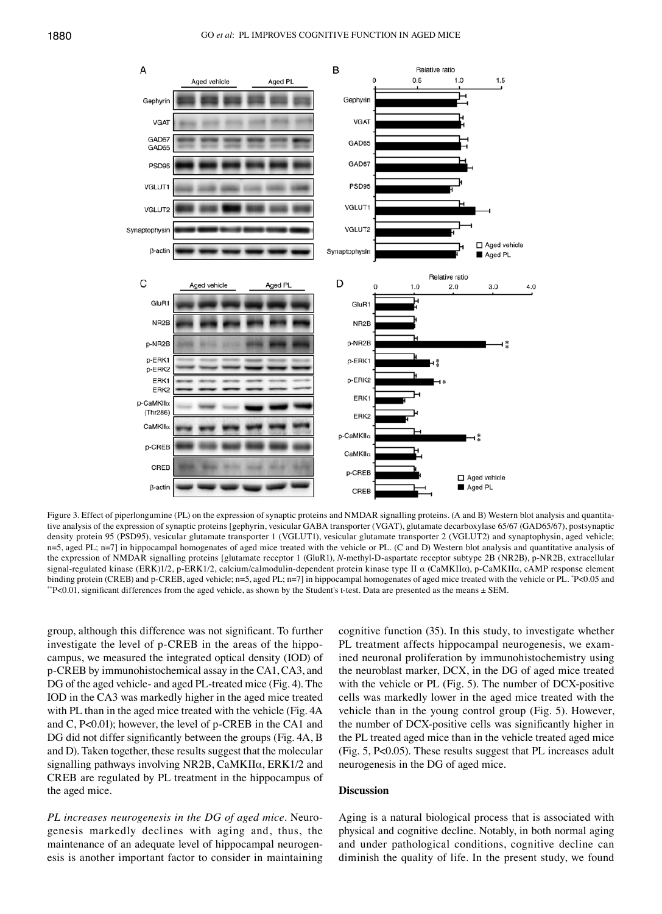

Figure 3. Effect of piperlongumine (PL) on the expression of synaptic proteins and NMDAR signalling proteins. (A and B) Western blot analysis and quantitative analysis of the expression of synaptic proteins [gephyrin, vesicular GABA transporter (VGAT), glutamate decarboxylase 65/67 (GAD65/67), postsynaptic density protein 95 (PSD95), vesicular glutamate transporter 1 (VGLUT1), vesicular glutamate transporter 2 (VGLUT2) and synaptophysin, aged vehicle; n=5, aged PL; n=7] in hippocampal homogenates of aged mice treated with the vehicle or PL. (C and D) Western blot analysis and quantitative analysis of the expression of NMDAR signalling proteins [glutamate receptor 1 (GluR1), *N*-methyl-D-aspartate receptor subtype 2B (NR2B), p-NR2B, extracellular signal-regulated kinase (ERK)1/2, p-ERK1/2, calcium/calmodulin-dependent protein kinase type II α (CaMKIIα), p-CaMKIIα, cAMP response element binding protein (CREB) and p-CREB, aged vehicle; n=5, aged PL; n=7] in hippocampal homogenates of aged mice treated with the vehicle or PL. \*P<0.05 and \*\*P<0.01, significant differences from the aged vehicle, as shown by the Student's t-test. Data are presented as the means  $\pm$  SEM.

group, although this difference was not significant. To further investigate the level of p‑CREB in the areas of the hippocampus, we measured the integrated optical density (IOD) of p‑CREB by immunohistochemical assay in the CA1, CA3, and DG of the aged vehicle- and aged PL-treated mice (Fig. 4). The IOD in the CA3 was markedly higher in the aged mice treated with PL than in the aged mice treated with the vehicle (Fig. 4A and C, P<0.01); however, the level of p-CREB in the CA1 and DG did not differ significantly between the groups (Fig. 4A, B and D). Taken together, these results suggest that the molecular signalling pathways involving NR2B, CaMKIIα, ERK1/2 and CREB are regulated by PL treatment in the hippocampus of the aged mice.

*PL increases neurogenesis in the DG of aged mice.* Neurogenesis markedly declines with aging and, thus, the maintenance of an adequate level of hippocampal neurogenesis is another important factor to consider in maintaining cognitive function (35). In this study, to investigate whether PL treatment affects hippocampal neurogenesis, we examined neuronal proliferation by immunohistochemistry using the neuroblast marker, DCX, in the DG of aged mice treated with the vehicle or PL (Fig. 5). The number of DCX-positive cells was markedly lower in the aged mice treated with the vehicle than in the young control group (Fig. 5). However, the number of DCX‑positive cells was significantly higher in the PL treated aged mice than in the vehicle treated aged mice (Fig. 5, P<0.05). These results suggest that PL increases adult neurogenesis in the DG of aged mice.

#### **Discussion**

Aging is a natural biological process that is associated with physical and cognitive decline. Notably, in both normal aging and under pathological conditions, cognitive decline can diminish the quality of life. In the present study, we found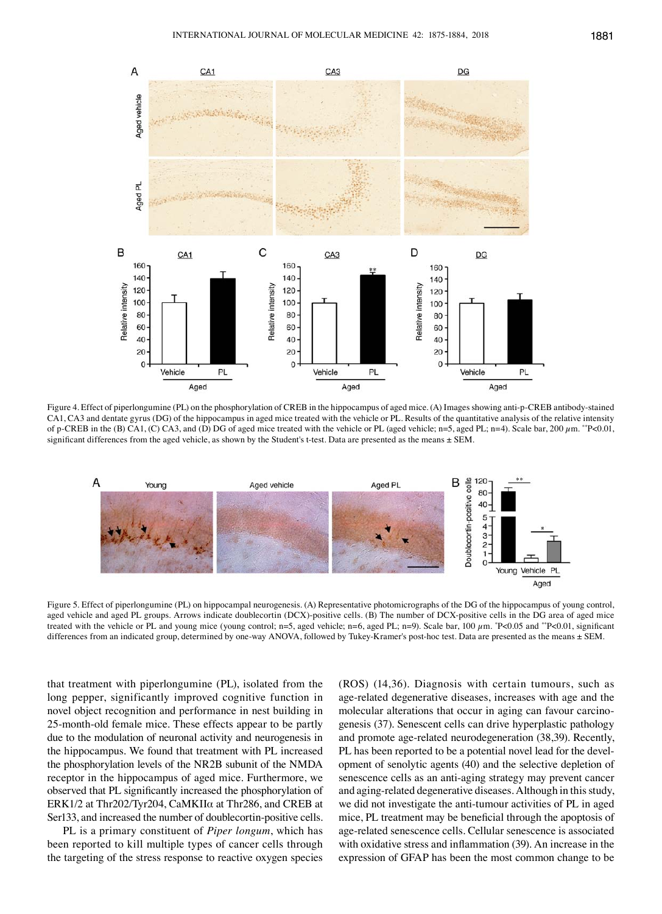

Figure 4. Effect of piperlongumine (PL) on the phosphorylation of CREB in the hippocampus of aged mice. (A) Images showing anti-p-CREB antibody-stained CA1, CA3 and dentate gyrus (DG) of the hippocampus in aged mice treated with the vehicle or PL. Results of the quantitative analysis of the relative intensity of p‑CREB in the (B) CA1, (C) CA3, and (D) DG of aged mice treated with the vehicle or PL (aged vehicle; n=5, aged PL; n=4). Scale bar, 200 µm. \*\*P<0.01, significant differences from the aged vehicle, as shown by the Student's t-test. Data are presented as the means  $\pm$  SEM.



Figure 5. Effect of piperlongumine (PL) on hippocampal neurogenesis. (A) Representative photomicrographs of the DG of the hippocampus of young control, aged vehicle and aged PL groups. Arrows indicate doublecortin (DCX)-positive cells. (B) The number of DCX-positive cells in the DG area of aged mice treated with the vehicle or PL and young mice (young control;  $n=5$ , aged vehicle;  $n=6$ , aged PL;  $n=9$ ). Scale bar, 100  $\mu$ m. \*P<0.05 and \*\*P<0.01, significant differences from an indicated group, determined by one-way ANOVA, followed by Tukey-Kramer's post-hoc test. Data are presented as the means ± SEM.

that treatment with piperlongumine (PL), isolated from the long pepper, significantly improved cognitive function in novel object recognition and performance in nest building in 25-month-old female mice. These effects appear to be partly due to the modulation of neuronal activity and neurogenesis in the hippocampus. We found that treatment with PL increased the phosphorylation levels of the NR2B subunit of the NMDA receptor in the hippocampus of aged mice. Furthermore, we observed that PL significantly increased the phosphorylation of ERK1/2 at Thr202/Tyr204, CaMKIIα at Thr286, and CREB at Ser133, and increased the number of doublecortin-positive cells.

PL is a primary constituent of *Piper longum*, which has been reported to kill multiple types of cancer cells through the targeting of the stress response to reactive oxygen species (ROS) (14,36). Diagnosis with certain tumours, such as age-related degenerative diseases, increases with age and the molecular alterations that occur in aging can favour carcinogenesis (37). Senescent cells can drive hyperplastic pathology and promote age-related neurodegeneration (38,39). Recently, PL has been reported to be a potential novel lead for the development of senolytic agents (40) and the selective depletion of senescence cells as an anti-aging strategy may prevent cancer and aging-related degenerative diseases. Although in this study, we did not investigate the anti-tumour activities of PL in aged mice, PL treatment may be beneficial through the apoptosis of age-related senescence cells. Cellular senescence is associated with oxidative stress and inflammation (39). An increase in the expression of GFAP has been the most common change to be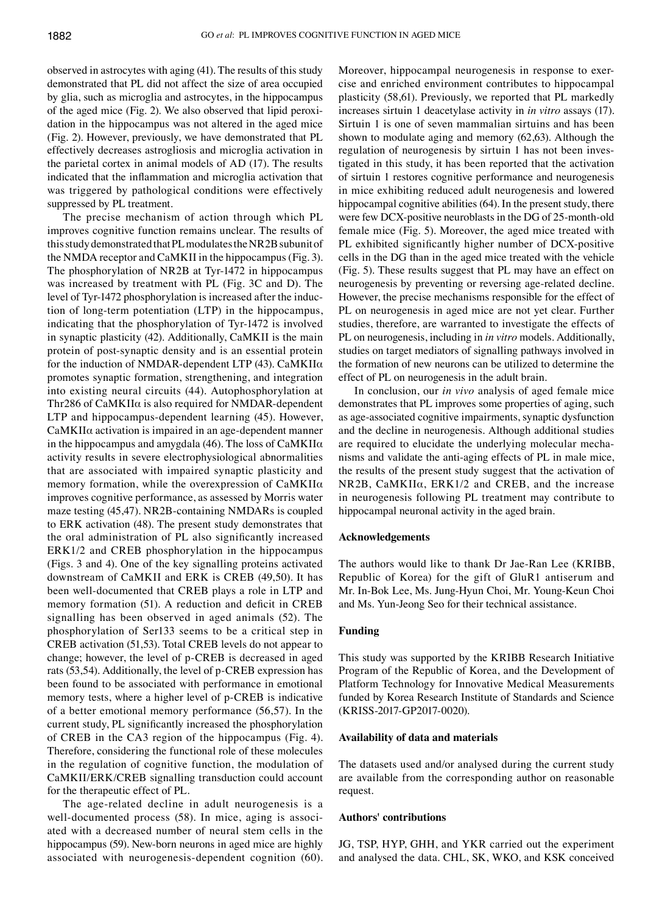observed in astrocytes with aging (41). The results of this study demonstrated that PL did not affect the size of area occupied by glia, such as microglia and astrocytes, in the hippocampus of the aged mice (Fig. 2). We also observed that lipid peroxidation in the hippocampus was not altered in the aged mice (Fig. 2). However, previously, we have demonstrated that PL effectively decreases astrogliosis and microglia activation in the parietal cortex in animal models of AD (17). The results indicated that the inflammation and microglia activation that was triggered by pathological conditions were effectively suppressed by PL treatment.

The precise mechanism of action through which PL improves cognitive function remains unclear. The results of this study demonstrated that PL modulates the NR2B subunit of the NMDA receptor and CaMKII in the hippocampus (Fig. 3). The phosphorylation of NR2B at Tyr-1472 in hippocampus was increased by treatment with PL (Fig. 3C and D). The level of Tyr-1472 phosphorylation is increased after the induction of long-term potentiation (LTP) in the hippocampus, indicating that the phosphorylation of Tyr-1472 is involved in synaptic plasticity (42). Additionally, CaMKII is the main protein of post-synaptic density and is an essential protein for the induction of NMDAR-dependent LTP (43). CaMKIIα promotes synaptic formation, strengthening, and integration into existing neural circuits (44). Autophosphorylation at Thr286 of  $CaMKII\alpha$  is also required for NMDAR-dependent LTP and hippocampus-dependent learning (45). However, CaMKIIα activation is impaired in an age-dependent manner in the hippocampus and amygdala (46). The loss of  $CaMKII\alpha$ activity results in severe electrophysiological abnormalities that are associated with impaired synaptic plasticity and memory formation, while the overexpression of CaMKIIα improves cognitive performance, as assessed by Morris water maze testing (45,47). NR2B-containing NMDARs is coupled to ERK activation (48). The present study demonstrates that the oral administration of PL also significantly increased ERK1/2 and CREB phosphorylation in the hippocampus (Figs. 3 and 4). One of the key signalling proteins activated downstream of CaMKII and ERK is CREB (49,50). It has been well-documented that CREB plays a role in LTP and memory formation (51). A reduction and deficit in CREB signalling has been observed in aged animals (52). The phosphorylation of Ser133 seems to be a critical step in CREB activation (51,53). Total CREB levels do not appear to change; however, the level of p‑CREB is decreased in aged rats (53,54). Additionally, the level of p‑CREB expression has been found to be associated with performance in emotional memory tests, where a higher level of p‑CREB is indicative of a better emotional memory performance (56,57). In the current study, PL significantly increased the phosphorylation of CREB in the CA3 region of the hippocampus (Fig. 4). Therefore, considering the functional role of these molecules in the regulation of cognitive function, the modulation of CaMKII/ERK/CREB signalling transduction could account for the therapeutic effect of PL.

The age-related decline in adult neurogenesis is a well-documented process (58). In mice, aging is associated with a decreased number of neural stem cells in the hippocampus (59). New-born neurons in aged mice are highly associated with neurogenesis-dependent cognition (60). Moreover, hippocampal neurogenesis in response to exercise and enriched environment contributes to hippocampal plasticity (58,61). Previously, we reported that PL markedly increases sirtuin 1 deacetylase activity in *in vitro* assays (17). Sirtuin 1 is one of seven mammalian sirtuins and has been shown to modulate aging and memory (62,63). Although the regulation of neurogenesis by sirtuin 1 has not been investigated in this study, it has been reported that the activation of sirtuin 1 restores cognitive performance and neurogenesis in mice exhibiting reduced adult neurogenesis and lowered hippocampal cognitive abilities (64). In the present study, there were few DCX-positive neuroblasts in the DG of 25-month-old female mice (Fig. 5). Moreover, the aged mice treated with PL exhibited significantly higher number of DCX-positive cells in the DG than in the aged mice treated with the vehicle (Fig. 5). These results suggest that PL may have an effect on neurogenesis by preventing or reversing age-related decline. However, the precise mechanisms responsible for the effect of PL on neurogenesis in aged mice are not yet clear. Further studies, therefore, are warranted to investigate the effects of PL on neurogenesis, including in *in vitro* models. Additionally, studies on target mediators of signalling pathways involved in the formation of new neurons can be utilized to determine the effect of PL on neurogenesis in the adult brain.

In conclusion, our *in vivo* analysis of aged female mice demonstrates that PL improves some properties of aging, such as age-associated cognitive impairments, synaptic dysfunction and the decline in neurogenesis. Although additional studies are required to elucidate the underlying molecular mechanisms and validate the anti-aging effects of PL in male mice, the results of the present study suggest that the activation of NR2B, CaMKIIα, ERK1/2 and CREB, and the increase in neurogenesis following PL treatment may contribute to hippocampal neuronal activity in the aged brain.

## **Acknowledgements**

The authors would like to thank Dr Jae-Ran Lee (KRIBB, Republic of Korea) for the gift of GluR1 antiserum and Mr. In-Bok Lee, Ms. Jung-Hyun Choi, Mr. Young-Keun Choi and Ms. Yun-Jeong Seo for their technical assistance.

## **Funding**

This study was supported by the KRIBB Research Initiative Program of the Republic of Korea, and the Development of Platform Technology for Innovative Medical Measurements funded by Korea Research Institute of Standards and Science (KRISS-2017-GP2017-0020).

#### **Availability of data and materials**

The datasets used and/or analysed during the current study are available from the corresponding author on reasonable request.

#### **Authors' contributions**

JG, TSP, HYP, GHH, and YKR carried out the experiment and analysed the data. CHL, SK, WKO, and KSK conceived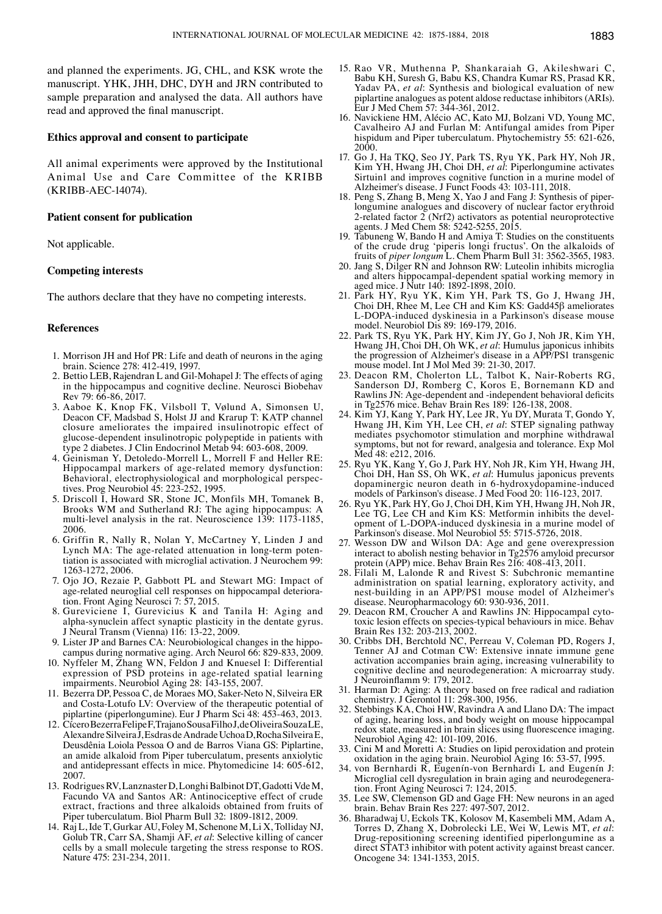and planned the experiments. JG, CHL, and KSK wrote the manuscript. YHK, JHH, DHC, DYH and JRN contributed to sample preparation and analysed the data. All authors have read and approved the final manuscript.

## **Ethics approval and consent to participate**

All animal experiments were approved by the Institutional Animal Use and Care Committee of the KRIBB (KRIBB-AEC‑14074).

## **Patient consent for publication**

Not applicable.

# **Competing interests**

The authors declare that they have no competing interests.

#### **References**

- 1. Morrison JH and Hof PR: Life and death of neurons in the aging brain. Science 278: 412-419, 1997.
- 2. Bettio LEB, Rajendran L and Gil-Mohapel J: The effects of aging in the hippocampus and cognitive decline. Neurosci Biobehav Rev 79: 66-86, 2017.
- 3. Aaboe K, Knop FK, Vilsboll T, Vølund A, Simonsen U, Deacon CF, Madsbad S, Holst JJ and Krarup T: KATP channel closure ameliorates the impaired insulinotropic effect of glucose-dependent insulinotropic polypeptide in patients with type 2 diabetes. J Clin Endocrinol Metab 94: 603-608, 2009.
- 4. Geinisman Y, Detoledo-Morrell L, Morrell F and Heller RE: Hippocampal markers of age-related memory dysfunction: Behavioral, electrophysiological and morphological perspectives. Prog Neurobiol 45: 223-252, 1995.
- 5. Driscoll I, Howard SR, Stone JC, Monfils MH, Tomanek B, Brooks WM and Sutherland RJ: The aging hippocampus: A multi-level analysis in the rat. Neuroscience 139: 1173-1185, 2006.
- 6. Griffin R, Nally R, Nolan Y, McCartney Y, Linden J and Lynch MA: The age-related attenuation in long-term potentiation is associated with microglial activation. J Neurochem 99: 1263-1272, 2006.
- 7. Ojo JO, Rezaie P, Gabbott PL and Stewart MG: Impact of age-related neuroglial cell responses on hippocampal deterioration. Front Aging Neurosci 7: 57, 2015.
- 8. Gureviciene I, Gurevicius K and Tanila H: Aging and alpha-synuclein affect synaptic plasticity in the dentate gyrus. J Neural Transm (Vienna) 116: 13-22, 2009.
- 9. Lister JP and Barnes CA: Neurobiological changes in the hippocampus during normative aging. Arch Neurol 66: 829-833, 2009.
- 10. Nyffeler M, Zhang WN, Feldon J and Knuesel I: Differential expression of PSD proteins in age-related spatial learning impairments. Neurobiol Aging 28: 143-155, 2007.
- 11. Bezerra DP, Pessoa C, de Moraes MO, Saker-Neto N, Silveira ER and Costa-Lotufo LV: Overview of the therapeutic potential of piplartine (piperlongumine). Eur J Pharm Sci 48: 453-463, 2013.
- 12. CíceroBezerraFelipeF, TrajanoSousaFilhoJ, deOliveiraSouzaLE, AlexandreSilveiraJ, EsdrasdeAndradeUchoa D, RochaSilveiraE, Deusdênia Loiola Pessoa O and de Barros Viana GS: Piplartine, an amide alkaloid from Piper tuberculatum, presents anxiolytic and antidepressant effects in mice. Phytomedicine 14: 605-612, 2007.
- 13. Rodrigues RV, Lanznaster D, Longhi Balbinot DT, Gadotti Vde M, Facundo VA and Santos AR: Antinociceptive effect of crude extract, fractions and three alkaloids obtained from fruits of Piper tuberculatum. Biol Pharm Bull 32: 1809-1812, 2009.
- 14. Raj L, Ide T, Gurkar AU, Foley M, Schenone M, Li X, Tolliday NJ, Golub TR, Carr SA, Shamji AF, *et al*: Selective killing of cancer cells by a small molecule targeting the stress response to ROS. Nature 475: 231-234, 2011.
- 15. Rao VR, Muthenna P, Shankaraiah G, Akileshwari C, Babu KH, Suresh G, Babu KS, Chandra Kumar RS, Prasad KR, Yadav PA, *et al*: Synthesis and biological evaluation of new piplartine analogues as potent aldose reductase inhibitors (ARIs). Eur J Med Chem 57: 344-361, 2012.
- 16. Navickiene HM, Alécio AC, Kato MJ, Bolzani VD, Young MC, Cavalheiro AJ and Furlan M: Antifungal amides from Piper hispidum and Piper tuberculatum. Phytochemistry 55: 621-626, 2000.
- 17. Go J, Ha TKQ, Seo JY, Park TS, Ryu YK, Park HY, Noh JR, Kim YH, Hwang JH, Choi DH, *et al*: Piperlongumine activates Sirtuin1 and improves cognitive function in a murine model of Alzheimer's disease. J Funct Foods 43: 103-111, 2018.
- 18. Peng S, Zhang B, Meng X, Yao J and Fang J: Synthesis of piper- longumine analogues and discovery of nuclear factor erythroid 2-related factor  $2$  (Nrf2) activators as potential neuroprotective agents. J Med Chem 58: 5242-5255, 2015.
- 19. Tabuneng W, Bando H and Amiya T: Studies on the constituents of the crude drug 'piperis longi fructus'. On the alkaloids of fruits of *piper longum* L. Chem Pharm Bull 31: 3562-3565, 1983.
- 20. Jang S, Dilger RN and Johnson RW: Luteolin inhibits microglia and alters hippocampal-dependent spatial working memory in aged mice. J Nutr 140: 1892-1898, 2010.
- 21. Park HY, Ryu YK, Kim YH, Park TS, Go J, Hwang JH, Choi DH, Rhee M, Lee CH and Kim KS: Gadd45β ameliorates L‑DOPA-induced dyskinesia in a Parkinson's disease mouse model. Neurobiol Dis 89: 169-179, 2016.
- 22. Park TS, Ryu YK, Park HY, Kim JY, Go J, Noh JR, Kim YH, Hwang JH, Choi DH, Oh WK, *et al*: Humulus japonicus inhibits the progression of Alzheimer's disease in a APP/PS1 transgenic mouse model. Int J Mol Med 39: 21-30, 2017.
- 23. Deacon RM, Cholerton LL, Talbot K, Nair-Roberts RG, Sanderson DJ, Romberg C, Koros E, Bornemann KD and Rawlins JN: Age‑dependent and ‑independent behavioral deficits in Tg2576 mice. Behav Brain Res 189: 126-138, 2008.
- 24. Kim YJ, Kang Y, Park HY, Lee JR, Yu DY, Murata T, Gondo Y, Hwang JH, Kim YH, Lee CH, *et al*: STEP signaling pathway mediates psychomotor stimulation and morphine withdrawal symptoms, but not for reward, analgesia and tolerance. Exp Mol Med 48: e212, 2016.
- 25. Ryu YK, Kang Y, Go J, Park HY, Noh JR, Kim YH, Hwang JH, Choi DH, Han SS, Oh WK, *et al*: Humulus japonicus prevents dopaminergic neuron death in 6-hydroxydopamine-induced models of Parkinson's disease. J Med Food 20: 116-123, 2017.
- 26. Ryu YK, Park HY, Go J, Choi DH, Kim YH, Hwang JH, Noh JR, opment of L-DOPA-induced dyskinesia in a murine model of Parkinson's disease. Mol Neurobiol 55: 5715-5726, 2018.
- 27. Wesson DW and Wilson DA: Age and gene overexpression interact to abolish nesting behavior in Tg2576 amyloid precursor protein (APP) mice. Behav Brain Res 216: 408-413, 2011.
- 28. Filali M, Lalonde R and Rivest S: Subchronic memantine administration on spatial learning, exploratory activity, and nest-building in an APP/PS1 mouse model of Alzheimer's disease. Neuropharmacology 60: 930-936, 2011.<br>29. Deacon RM, Croucher A and Rawlins JN: Hippocampal cyto-
- 29. Deacon RM, Croucher A and Rawlins JN: Hippocampal cyto- toxic lesion effects on species-typical behaviours in mice. Behav Brain Res 132: 203-213, 2002.
- 30. Cribbs DH, Berchtold NC, Perreau V, Coleman PD, Rogers J, Tenner AJ and Cotman CW: Extensive innate immune gene activation accompanies brain aging, increasing vulnerability to cognitive decline and neurodegeneration: A microarray study. J Neuroinflamm 9: 179, 2012.
- 31. Harman D: Aging: A theory based on free radical and radiation chemistry. J Gerontol 11: 298-300, 1956.
- 32. Stebbings KA, Choi HW, Ravindra A and Llano DA: The impact of aging, hearing loss, and body weight on mouse hippocampal redox state, measured in brain slices using fluorescence imaging. Neurobiol Aging 42: 101-109, 2016.
- 33. Cini M and Moretti A: Studies on lipid peroxidation and protein oxidation in the aging brain. Neurobiol Aging 16: 53-57, 1995.
- 34. von Bernhardi R, Eugenín-von Bernhardi L and Eugenín J: Microglial cell dysregulation in brain aging and neurodegenera- tion. Front Aging Neurosci 7: 124, 2015.
- 35. Lee SW, Clemenson GD and Gage FH: New neurons in an aged brain. Behav Brain Res 227: 497-507, 2012.
- 36. Bharadwaj U, Eckols TK, Kolosov M, Kasembeli MM, Adam A, Torres D, Zhang X, Dobrolecki LE, Wei W, Lewis MT, et al: Drug-repositioning screening identified piperlongumine as a direct STAT3 inhibitor with potent activity against breast cancer. Oncogene 34: 1341-1353, 2015.